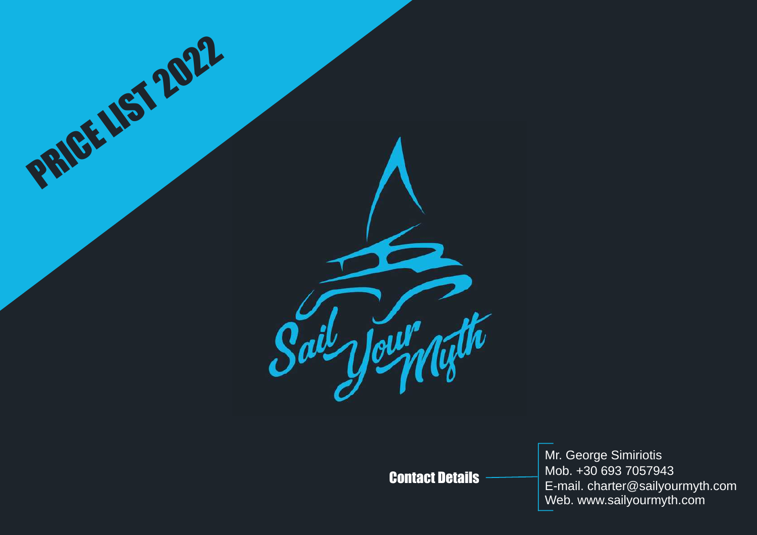

## Contact Details

Mr. George Simiriotis Mob. +30 693 7057943 E-mail. charter@sailyourmyth.com Web. www.sailyourmyth.com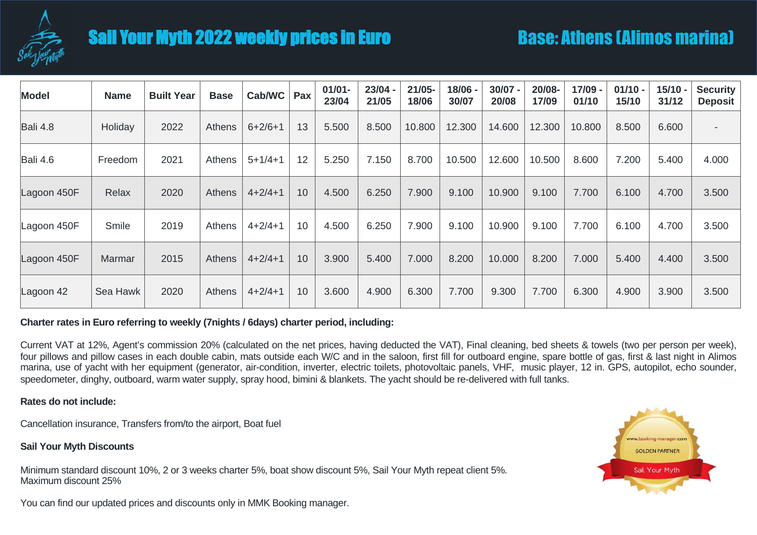

# Sail Your Myth 2022 weekly prices in Euro

| <b>Model</b> | <b>Name</b> | <b>Built Year</b> | <b>Base</b>   | Cab/WC        | Pax | $01/01 -$<br>23/04 | $23/04 -$<br>21/05 | $21/05 -$<br>18/06 | 18/06 -<br>30/07 | $30/07 -$<br>20/08 | 20/08-<br>17/09 | 17/09 -<br>01/10 | $01/10 -$<br>15/10 | $15/10 -$<br>31/12 | <b>Security</b><br><b>Deposit</b> |
|--------------|-------------|-------------------|---------------|---------------|-----|--------------------|--------------------|--------------------|------------------|--------------------|-----------------|------------------|--------------------|--------------------|-----------------------------------|
| Bali 4.8     | Holiday     | 2022              | Athens        | $6+2/6+1$     | 13  | 5.500              | 8.500              | 10.800             | 12.300           | 14.600             | 12.300          | 10.800           | 8.500              | 6.600              | $\overline{\phantom{a}}$          |
| Bali 4.6     | Freedom     | 2021              | <b>Athens</b> | $5 + 1/4 + 1$ | 12  | 5.250              | 7.150              | 8.700              | 10.500           | 12.600             | 10.500          | 8.600            | 7.200              | 5.400              | 4.000                             |
| Lagoon 450F  | Relax       | 2020              | <b>Athens</b> | $4+2/4+1$     | 10  | 4.500              | 6.250              | 7.900              | 9.100            | 10.900             | 9.100           | 7.700            | 6.100              | 4.700              | 3.500                             |
| Lagoon 450F  | Smile       | 2019              | <b>Athens</b> | $4 + 2/4 + 1$ | 10  | 4.500              | 6.250              | 7.900              | 9.100            | 10.900             | 9.100           | 7.700            | 6.100              | 4.700              | 3.500                             |
| Lagoon 450F  | Marmar      | 2015              | <b>Athens</b> | $4+2/4+1$     | 10  | 3.900              | 5.400              | 7.000              | 8.200            | 10.000             | 8.200           | 7.000            | 5.400              | 4.400              | 3.500                             |
| Lagoon 42    | Sea Hawk    | 2020              | Athens        | $4 + 2/4 + 1$ | 10  | 3.600              | 4.900              | 6.300              | 7.700            | 9.300              | 7.700           | 6.300            | 4.900              | 3.900              | 3.500                             |

#### **Charter rates in Euro referring to weekly (7nights / 6days) charter period, including:**

Current VAT at 12%, Agent's commission 20% (calculated on the net prices, having deducted the VAT), Final cleaning, bed sheets & towels (two per person per week), four pillows and pillow cases in each double cabin, mats outside each W/C and in the saloon, first fill for outboard engine, spare bottle of gas, first & last night in Alimos marina, use of yacht with her equipment (generator, air-condition, inverter, electric toilets, photovoltaic panels, VHF, music player, 12 in. GPS, autopilot, echo sounder, speedometer, dinghy, outboard, warm water supply, spray hood, bimini & blankets. The yacht should be re-delivered with full tanks.

#### **Rates do not include:**

Cancellation insurance, Transfers from/to the airport, Boat fuel

#### **Sail Your Myth Discounts**

Minimum standard discount 10%, 2 or 3 weeks charter 5%, boat show discount 5%, Sail Your Myth repeat client 5%. Maximum discount 25%



You can find our updated prices and discounts only in MMK Booking manager.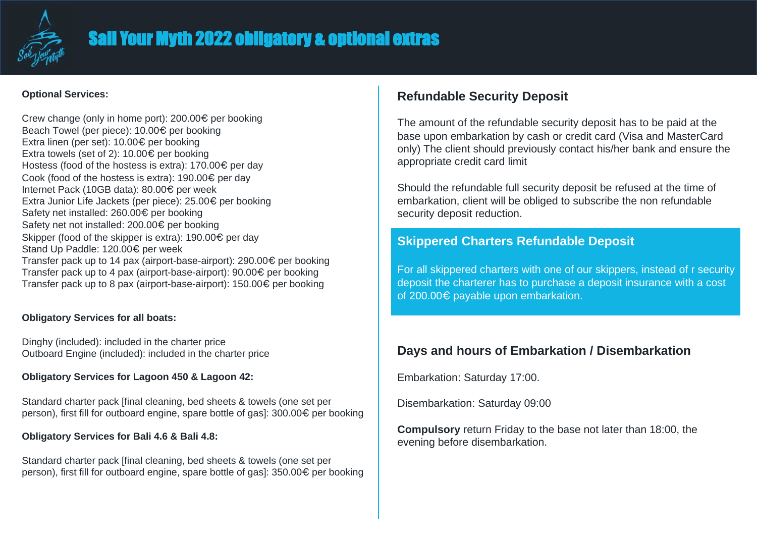

# Sail Your Myth 2022 obligatory & optional extras

### **Optional Services:**

Crew change (only in home port): 200.00€ per booking Beach Towel (per piece): 10.00€ per booking Extra linen (per set): 10.00€ per booking Extra towels (set of 2): 10.00€ per booking Hostess (food of the hostess is extra): 170.00€ per day Cook (food of the hostess is extra): 190.00€ per day Internet Pack (10GB data): 80.00€ per week Extra Junior Life Jackets (per piece): 25.00€ per booking Safety net installed: 260.00€ per booking Safety net not installed: 200.00€ per booking Skipper (food of the skipper is extra): 190.00€ per day Stand Up Paddle: 120.00€ per week Transfer pack up to 14 pax (airport-base-airport): 290.00€ per booking Transfer pack up to 4 pax (airport-base-airport): 90.00€ per booking Transfer pack up to 8 pax (airport-base-airport): 150.00€ per booking

### **Obligatory Services for all boats:**

Dinghy (included): included in the charter price Outboard Engine (included): included in the charter price

### **Obligatory Services for Lagoon 450 & Lagoon 42:**

Standard charter pack [final cleaning, bed sheets & towels (one set per person), first fill for outboard engine, spare bottle of gas]: 300.00€ per booking

### **Obligatory Services for Bali 4.6 & Bali 4.8:**

Standard charter pack [final cleaning, bed sheets & towels (one set per person), first fill for outboard engine, spare bottle of gas]: 350.00€ per booking

### **Refundable Security Deposit**

The amount of the refundable security deposit has to be paid at the base upon embarkation by cash or credit card (Visa and MasterCard only) The client should previously contact his/her bank and ensure the appropriate credit card limit

Should the refundable full security deposit be refused at the time of embarkation, client will be obliged to subscribe the non refundable security deposit reduction.

### **Skippered Charters Refundable Deposit**

For all skippered charters with one of our skippers, instead of r security deposit the charterer has to purchase a deposit insurance with a cost of 200.00€ payable upon embarkation.

### **Days and hours of Embarkation / Disembarkation**

Embarkation: Saturday 17:00.

Disembarkation: Saturday 09:00

**Compulsory** return Friday to the base not later than 18:00, the evening before disembarkation.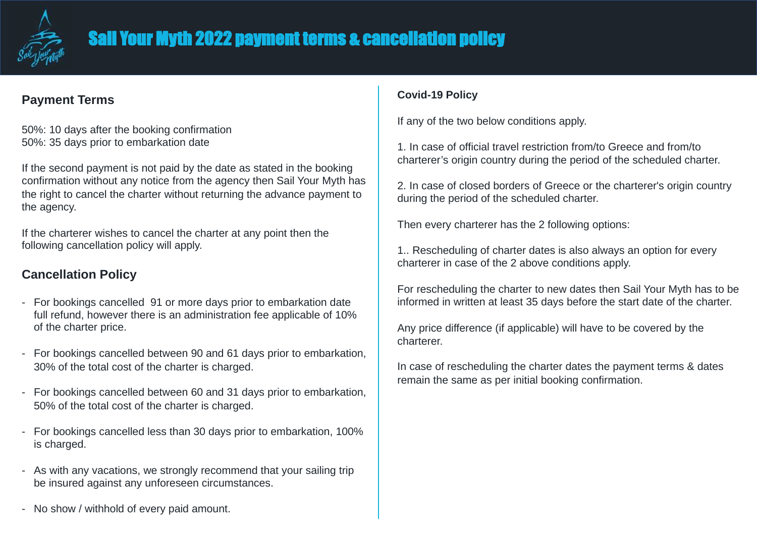

### **Payment Terms**

50%: 10 days after the booking confirmation 50%: 35 days prior to embarkation date

If the second payment is not paid by the date as stated in the booking confirmation without any notice from the agency then Sail Your Myth has the right to cancel the charter without returning the advance payment to the agency.

If the charterer wishes to cancel the charter at any point then the following cancellation policy will apply.

## **Cancellation Policy**

- For bookings cancelled 91 or more days prior to embarkation date full refund, however there is an administration fee applicable of 10% of the charter price.
- For bookings cancelled between 90 and 61 days prior to embarkation, 30% of the total cost of the charter is charged.
- For bookings cancelled between 60 and 31 days prior to embarkation, 50% of the total cost of the charter is charged.
- For bookings cancelled less than 30 days prior to embarkation, 100% is charged.
- As with any vacations, we strongly recommend that your sailing trip be insured against any unforeseen circumstances.

### **Covid-19 Policy**

If any of the two below conditions apply.

1. In case of official travel restriction from/to Greece and from/to charterer's origin country during the period of the scheduled charter.

2. In case of closed borders of Greece or the charterer's origin country during the period of the scheduled charter.

Then every charterer has the 2 following options:

1.. Rescheduling of charter dates is also always an option for every charterer in case of the 2 above conditions apply.

For rescheduling the charter to new dates then Sail Your Myth has to be informed in written at least 35 days before the start date of the charter.

Any price difference (if applicable) will have to be covered by the charterer.

In case of rescheduling the charter dates the payment terms & dates remain the same as per initial booking confirmation.

- No show / withhold of every paid amount.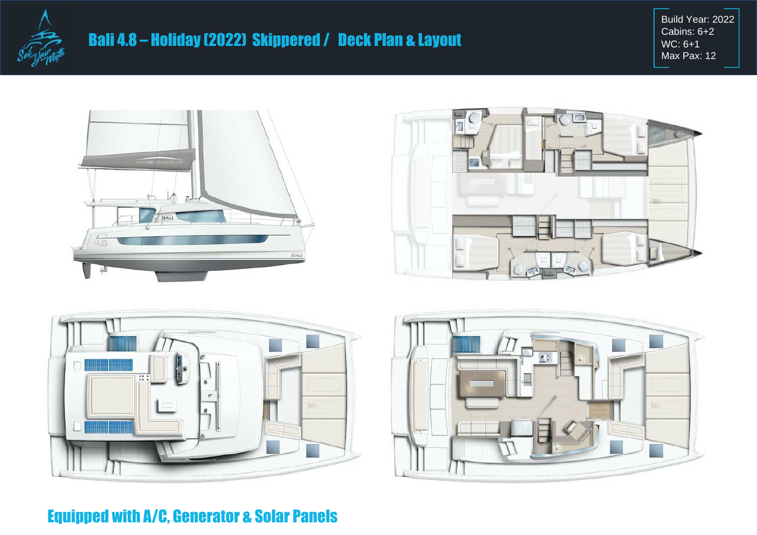

Build Year: 2022 Cabins: 6+2 WC: 6+1 Max Pax: 12







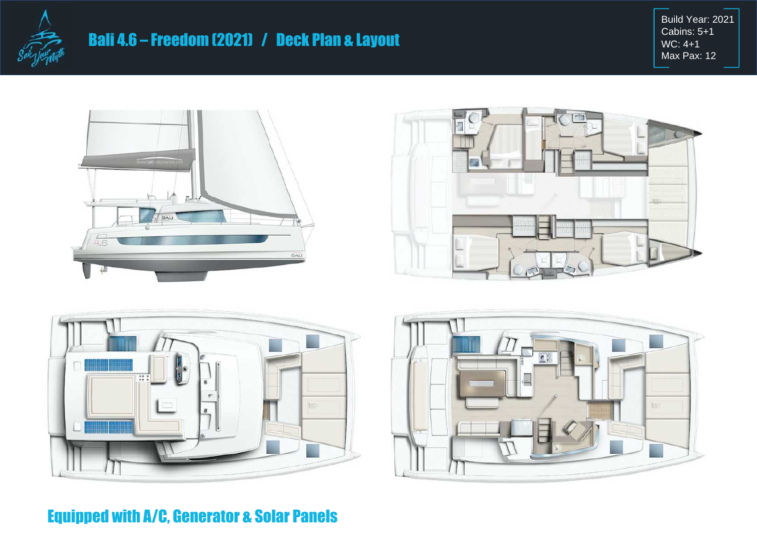

Build Year: 2021 Cabins: 5+1 WC: 4+1 Max Pax: 12







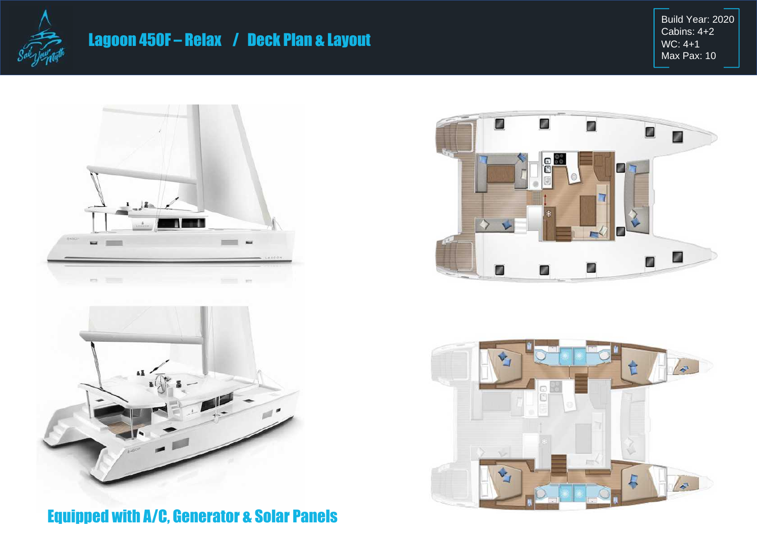

# Lagoon 450F – Relax / Deck Plan & Layout

Build Year: 2020 Cabins: 4+2 WC: 4+1 Max Pax: 10







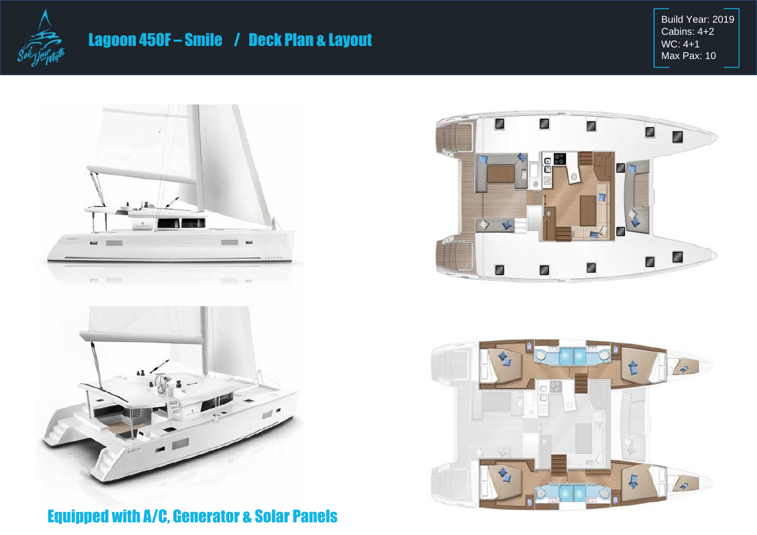

# Lagoon 450F – Smile / Deck Plan & Layout

Build Year: 2019 Cabins: 4+2 WC: 4+1 Max Pax: 10







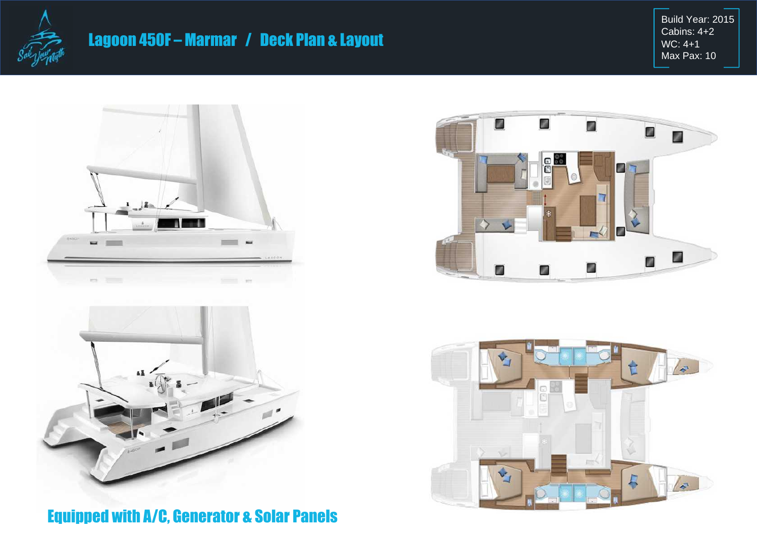

# Lagoon 450F – Marmar / Deck Plan & Layout

Build Year: 2015 Cabins: 4+2 WC: 4+1 Max Pax: 10







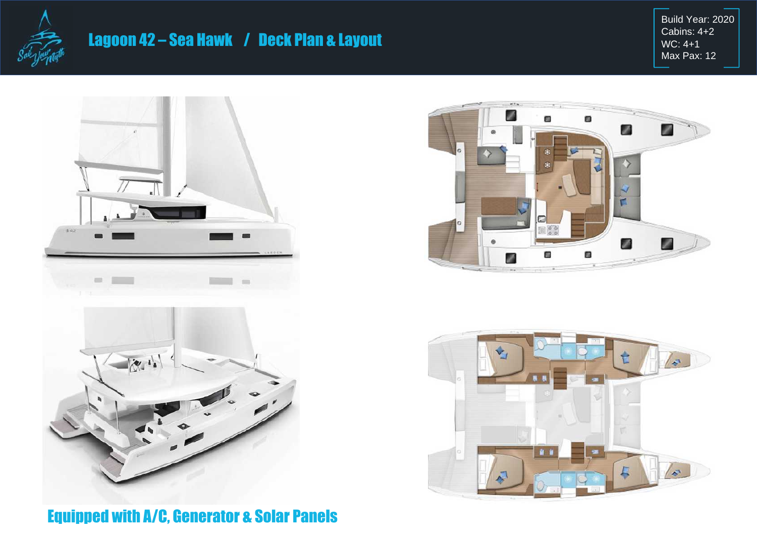

# Lagoon 42 – Sea Hawk / Deck Plan & Layout

Build Year: 2020 Cabins: 4+2 WC: 4+1 Max Pax: 12